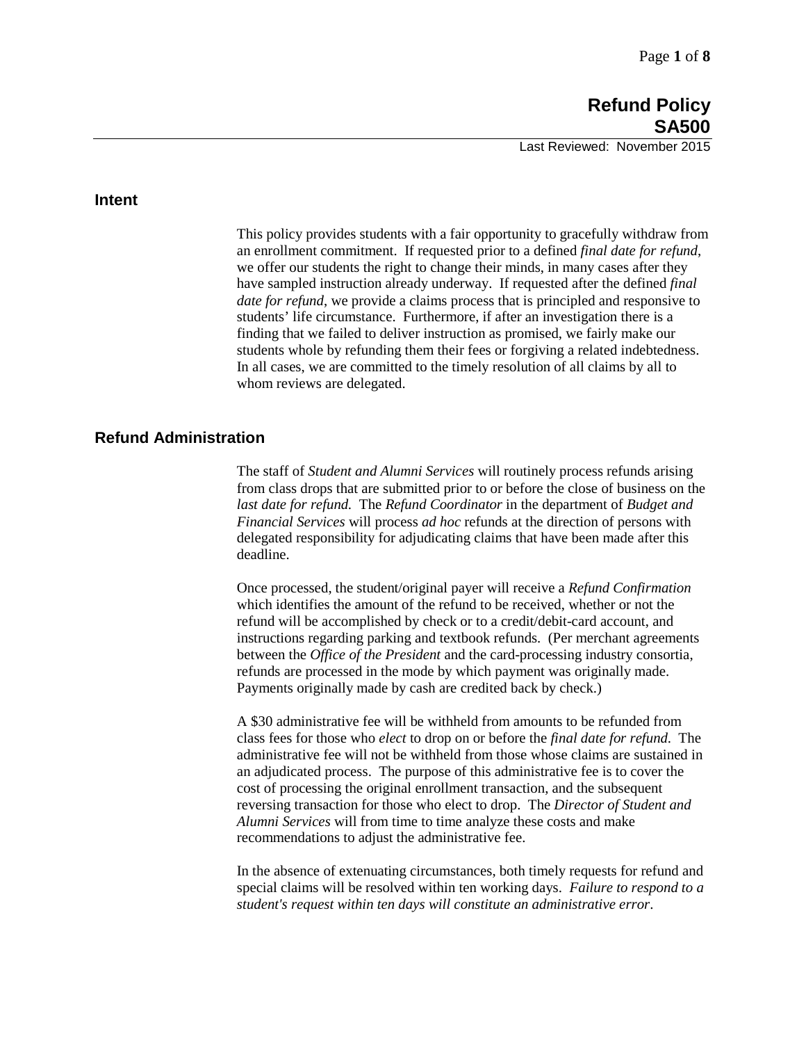#### **Intent**

This policy provides students with a fair opportunity to gracefully withdraw from an enrollment commitment. If requested prior to a defined *final date for refund*, we offer our students the right to change their minds, in many cases after they have sampled instruction already underway. If requested after the defined *final date for refund*, we provide a claims process that is principled and responsive to students' life circumstance. Furthermore, if after an investigation there is a finding that we failed to deliver instruction as promised, we fairly make our students whole by refunding them their fees or forgiving a related indebtedness. In all cases, we are committed to the timely resolution of all claims by all to whom reviews are delegated.

# **Refund Administration**

The staff of *Student and Alumni Services* will routinely process refunds arising from class drops that are submitted prior to or before the close of business on the *last date for refund.* The *Refund Coordinator* in the department of *Budget and Financial Services* will process *ad hoc* refunds at the direction of persons with delegated responsibility for adjudicating claims that have been made after this deadline.

Once processed, the student/original payer will receive a *Refund Confirmation*  which identifies the amount of the refund to be received, whether or not the refund will be accomplished by check or to a credit/debit-card account, and instructions regarding parking and textbook refunds. (Per merchant agreements between the *Office of the President* and the card-processing industry consortia, refunds are processed in the mode by which payment was originally made. Payments originally made by cash are credited back by check.)

A \$30 administrative fee will be withheld from amounts to be refunded from class fees for those who *elect* to drop on or before the *final date for refund*. The administrative fee will not be withheld from those whose claims are sustained in an adjudicated process. The purpose of this administrative fee is to cover the cost of processing the original enrollment transaction, and the subsequent reversing transaction for those who elect to drop. The *Director of Student and Alumni Services* will from time to time analyze these costs and make recommendations to adjust the administrative fee.

In the absence of extenuating circumstances, both timely requests for refund and special claims will be resolved within ten working days. *Failure to respond to a student's request within ten days will constitute an administrative error*.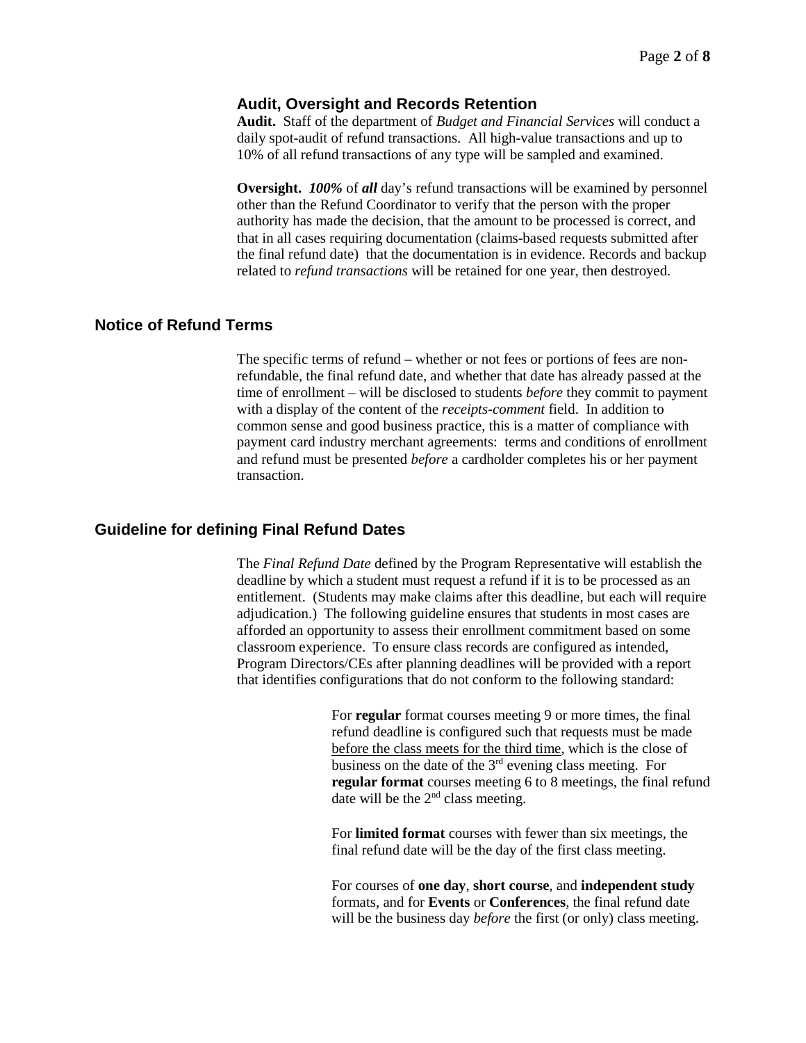#### **Audit, Oversight and Records Retention**

**Audit.** Staff of the department of *Budget and Financial Services* will conduct a daily spot-audit of refund transactions. All high-value transactions and up to 10% of all refund transactions of any type will be sampled and examined.

**Oversight.** *100%* of *all* day's refund transactions will be examined by personnel other than the Refund Coordinator to verify that the person with the proper authority has made the decision, that the amount to be processed is correct, and that in all cases requiring documentation (claims-based requests submitted after the final refund date) that the documentation is in evidence. Records and backup related to *refund transactions* will be retained for one year, then destroyed.

### **Notice of Refund Terms**

The specific terms of refund – whether or not fees or portions of fees are nonrefundable, the final refund date, and whether that date has already passed at the time of enrollment – will be disclosed to students *before* they commit to payment with a display of the content of the *receipts-comment* field. In addition to common sense and good business practice, this is a matter of compliance with payment card industry merchant agreements: terms and conditions of enrollment and refund must be presented *before* a cardholder completes his or her payment transaction.

### **Guideline for defining Final Refund Dates**

The *Final Refund Date* defined by the Program Representative will establish the deadline by which a student must request a refund if it is to be processed as an entitlement. (Students may make claims after this deadline, but each will require adjudication.) The following guideline ensures that students in most cases are afforded an opportunity to assess their enrollment commitment based on some classroom experience. To ensure class records are configured as intended, Program Directors/CEs after planning deadlines will be provided with a report that identifies configurations that do not conform to the following standard:

> For **regular** format courses meeting 9 or more times, the final refund deadline is configured such that requests must be made before the class meets for the third time, which is the close of business on the date of the 3rd evening class meeting. For **regular format** courses meeting 6 to 8 meetings, the final refund date will be the 2<sup>nd</sup> class meeting.

For **limited format** courses with fewer than six meetings, the final refund date will be the day of the first class meeting.

For courses of **one day**, **short course**, and **independent study**  formats, and for **Events** or **Conferences**, the final refund date will be the business day *before* the first (or only) class meeting.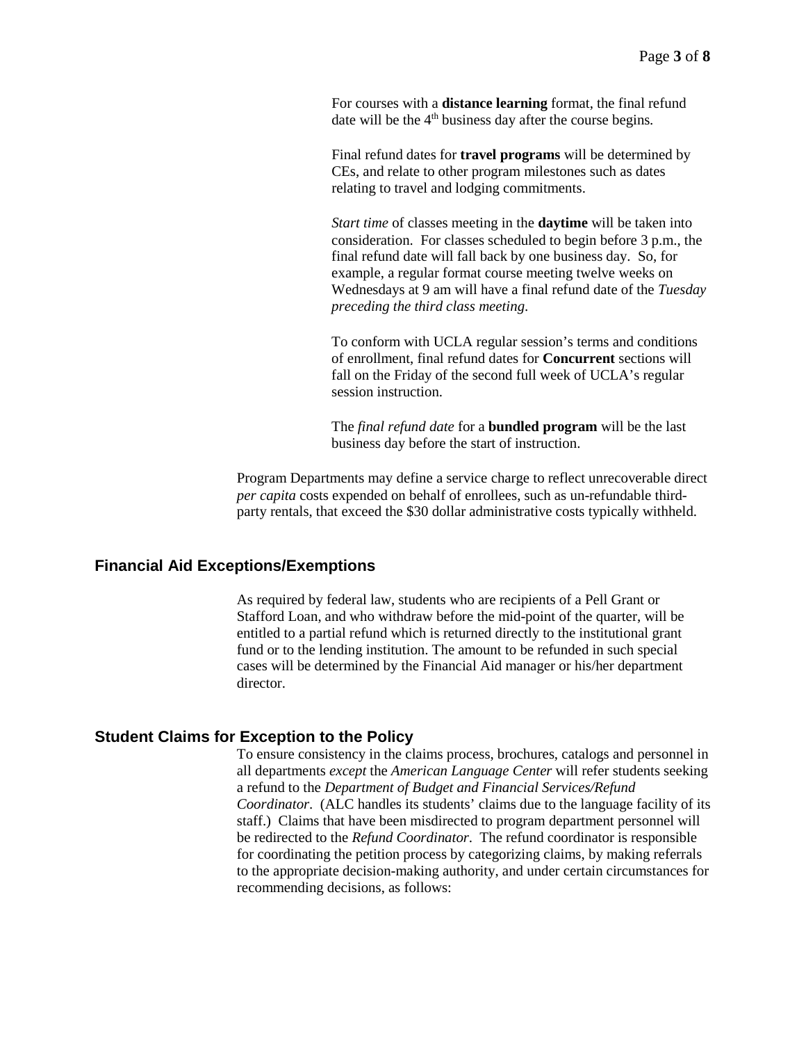For courses with a **distance learning** format, the final refund date will be the  $4<sup>th</sup>$  business day after the course begins.

Final refund dates for **travel programs** will be determined by CEs, and relate to other program milestones such as dates relating to travel and lodging commitments.

*Start time* of classes meeting in the **daytime** will be taken into consideration. For classes scheduled to begin before 3 p.m., the final refund date will fall back by one business day. So, for example, a regular format course meeting twelve weeks on Wednesdays at 9 am will have a final refund date of the *Tuesday preceding the third class meeting*.

To conform with UCLA regular session's terms and conditions of enrollment, final refund dates for **Concurrent** sections will fall on the Friday of the second full week of UCLA's regular session instruction.

The *final refund date* for a **bundled program** will be the last business day before the start of instruction.

Program Departments may define a service charge to reflect unrecoverable direct *per capita* costs expended on behalf of enrollees, such as un-refundable thirdparty rentals, that exceed the \$30 dollar administrative costs typically withheld.

# **Financial Aid Exceptions/Exemptions**

As required by federal law, students who are recipients of a Pell Grant or Stafford Loan, and who withdraw before the mid-point of the quarter, will be entitled to a partial refund which is returned directly to the institutional grant fund or to the lending institution. The amount to be refunded in such special cases will be determined by the Financial Aid manager or his/her department director.

#### **Student Claims for Exception to the Policy**

To ensure consistency in the claims process, brochures, catalogs and personnel in all departments *except* the *American Language Center* will refer students seeking a refund to the *Department of Budget and Financial Services/Refund Coordinator*. (ALC handles its students' claims due to the language facility of its staff.) Claims that have been misdirected to program department personnel will be redirected to the *Refund Coordinator*. The refund coordinator is responsible for coordinating the petition process by categorizing claims, by making referrals to the appropriate decision-making authority, and under certain circumstances for recommending decisions, as follows: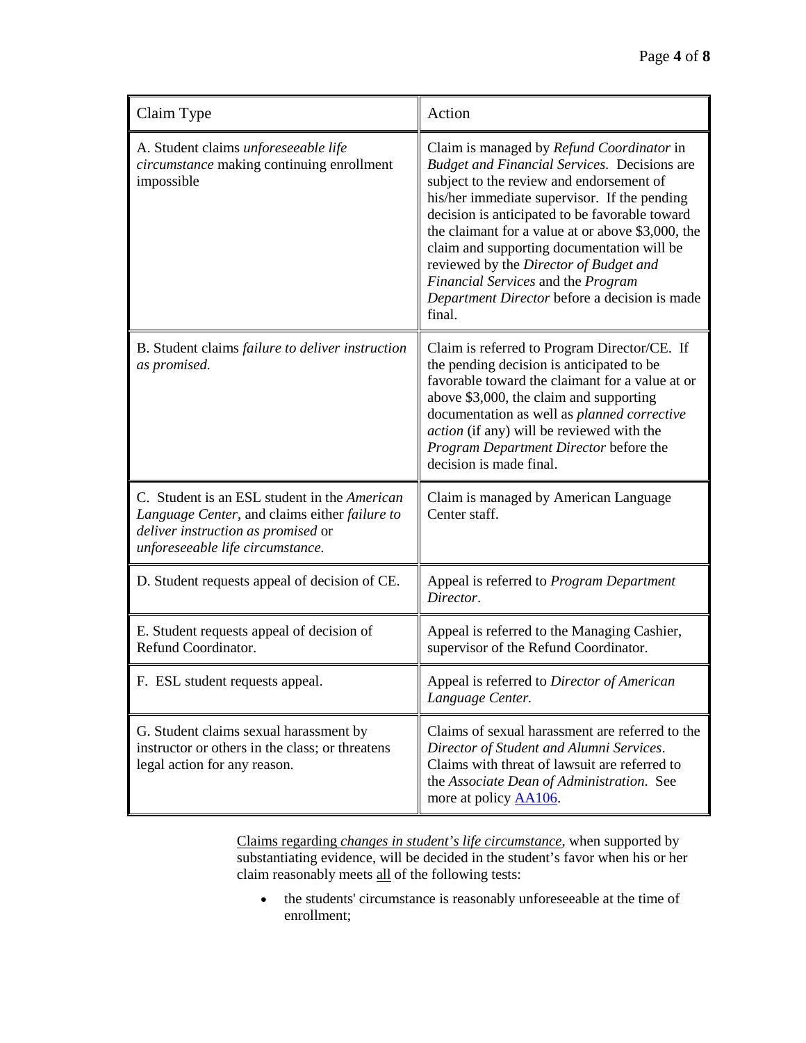| Claim Type                                                                                                                                                              | Action                                                                                                                                                                                                                                                                                                                                                                                                                                                                                       |
|-------------------------------------------------------------------------------------------------------------------------------------------------------------------------|----------------------------------------------------------------------------------------------------------------------------------------------------------------------------------------------------------------------------------------------------------------------------------------------------------------------------------------------------------------------------------------------------------------------------------------------------------------------------------------------|
| A. Student claims unforeseeable life<br>circumstance making continuing enrollment<br>impossible                                                                         | Claim is managed by Refund Coordinator in<br><b>Budget and Financial Services. Decisions are</b><br>subject to the review and endorsement of<br>his/her immediate supervisor. If the pending<br>decision is anticipated to be favorable toward<br>the claimant for a value at or above \$3,000, the<br>claim and supporting documentation will be<br>reviewed by the Director of Budget and<br>Financial Services and the Program<br>Department Director before a decision is made<br>final. |
| B. Student claims failure to deliver instruction<br>as promised.                                                                                                        | Claim is referred to Program Director/CE. If<br>the pending decision is anticipated to be<br>favorable toward the claimant for a value at or<br>above \$3,000, the claim and supporting<br>documentation as well as planned corrective<br>action (if any) will be reviewed with the<br>Program Department Director before the<br>decision is made final.                                                                                                                                     |
| C. Student is an ESL student in the American<br>Language Center, and claims either failure to<br>deliver instruction as promised or<br>unforeseeable life circumstance. | Claim is managed by American Language<br>Center staff.                                                                                                                                                                                                                                                                                                                                                                                                                                       |
| D. Student requests appeal of decision of CE.                                                                                                                           | Appeal is referred to Program Department<br>Director.                                                                                                                                                                                                                                                                                                                                                                                                                                        |
| E. Student requests appeal of decision of<br>Refund Coordinator.                                                                                                        | Appeal is referred to the Managing Cashier,<br>supervisor of the Refund Coordinator.                                                                                                                                                                                                                                                                                                                                                                                                         |
| F. ESL student requests appeal.                                                                                                                                         | Appeal is referred to Director of American<br>Language Center.                                                                                                                                                                                                                                                                                                                                                                                                                               |
| G. Student claims sexual harassment by<br>instructor or others in the class; or threatens<br>legal action for any reason.                                               | Claims of sexual harassment are referred to the<br>Director of Student and Alumni Services.<br>Claims with threat of lawsuit are referred to<br>the Associate Dean of Administration. See<br>more at policy <b>AA106</b> .                                                                                                                                                                                                                                                                   |

Claims regarding *changes in student's life circumstance*, when supported by substantiating evidence, will be decided in the student's favor when his or her claim reasonably meets all of the following tests:

• the students' circumstance is reasonably unforeseeable at the time of enrollment;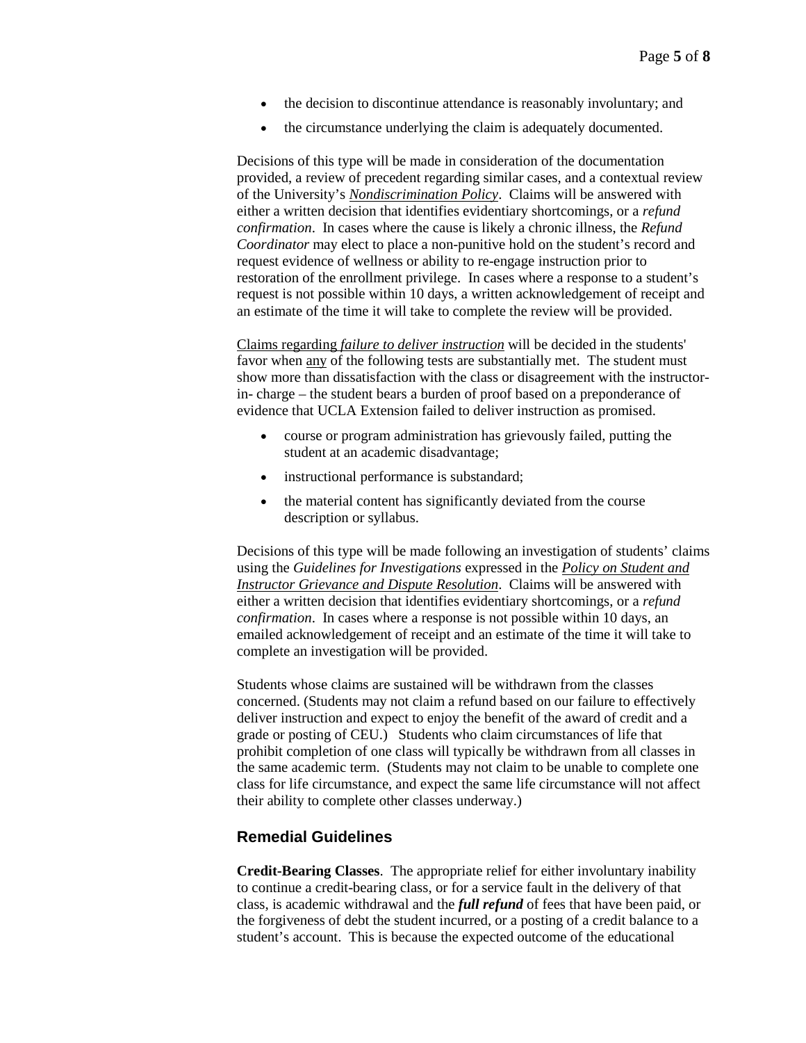- the decision to discontinue attendance is reasonably involuntary; and
- the circumstance underlying the claim is adequately documented.

Decisions of this type will be made in consideration of the documentation provided, a review of precedent regarding similar cases, and a contextual review of the University's *[Nondiscrimination Policy](https://www.uclaextension.edu/unexPolicies/Pages/default.aspx)*. Claims will be answered with either a written decision that identifies evidentiary shortcomings, or a *refund confirmation*. In cases where the cause is likely a chronic illness, the *Refund Coordinator* may elect to place a non-punitive hold on the student's record and request evidence of wellness or ability to re-engage instruction prior to restoration of the enrollment privilege. In cases where a response to a student's request is not possible within 10 days, a written acknowledgement of receipt and an estimate of the time it will take to complete the review will be provided.

Claims regarding *failure to deliver instruction* will be decided in the students' favor when any of the following tests are substantially met. The student must show more than dissatisfaction with the class or disagreement with the instructorin- charge – the student bears a burden of proof based on a preponderance of evidence that UCLA Extension failed to deliver instruction as promised.

- course or program administration has grievously failed, putting the student at an academic disadvantage;
- instructional performance is substandard;
- the material content has significantly deviated from the course description or syllabus.

Decisions of this type will be made following an investigation of students' claims using the *Guidelines for Investigations* expressed in the *[Policy on Student and](https://intracon.uclaextension.edu/policies/AA106.pdf)  [Instructor Grievance and Dispute Resolution](https://intracon.uclaextension.edu/policies/AA106.pdf)*. Claims will be answered with either a written decision that identifies evidentiary shortcomings, or a *refund confirmation*. In cases where a response is not possible within 10 days, an emailed acknowledgement of receipt and an estimate of the time it will take to complete an investigation will be provided.

Students whose claims are sustained will be withdrawn from the classes concerned. (Students may not claim a refund based on our failure to effectively deliver instruction and expect to enjoy the benefit of the award of credit and a grade or posting of CEU.) Students who claim circumstances of life that prohibit completion of one class will typically be withdrawn from all classes in the same academic term. (Students may not claim to be unable to complete one class for life circumstance, and expect the same life circumstance will not affect their ability to complete other classes underway.)

## **Remedial Guidelines**

**Credit-Bearing Classes**. The appropriate relief for either involuntary inability to continue a credit-bearing class, or for a service fault in the delivery of that class, is academic withdrawal and the *full refund* of fees that have been paid, or the forgiveness of debt the student incurred, or a posting of a credit balance to a student's account. This is because the expected outcome of the educational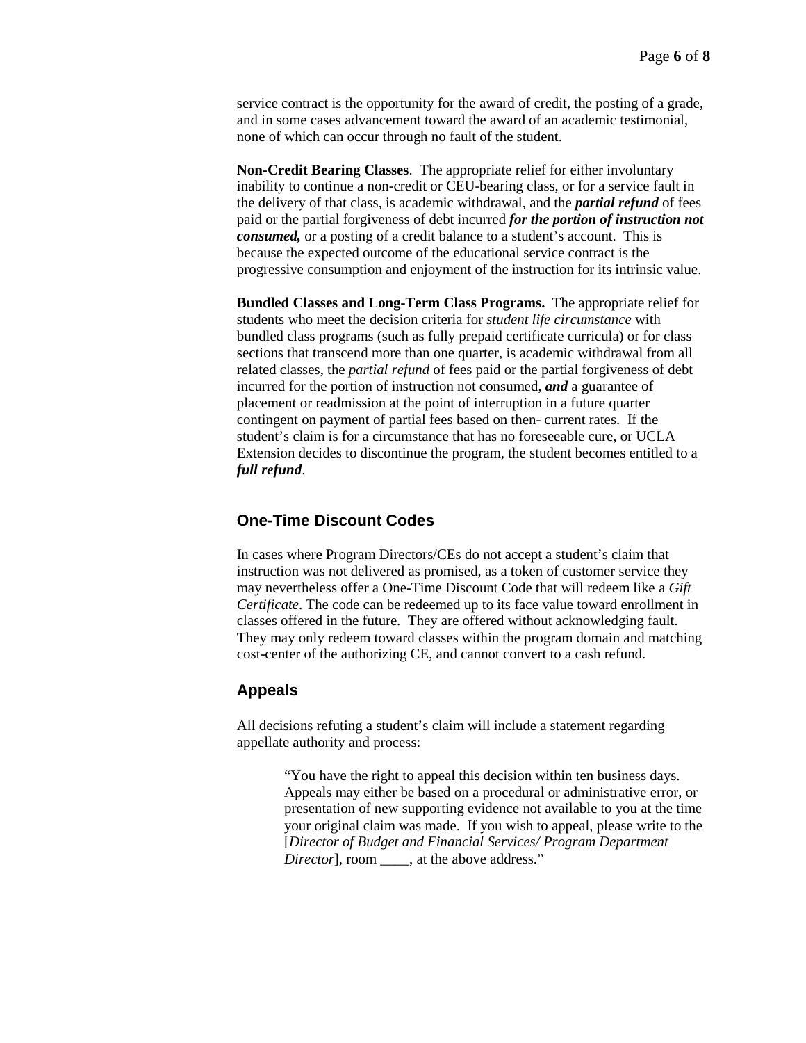service contract is the opportunity for the award of credit, the posting of a grade, and in some cases advancement toward the award of an academic testimonial, none of which can occur through no fault of the student.

**Non-Credit Bearing Classes**. The appropriate relief for either involuntary inability to continue a non-credit or CEU-bearing class, or for a service fault in the delivery of that class, is academic withdrawal, and the *partial refund* of fees paid or the partial forgiveness of debt incurred *for the portion of instruction not consumed,* or a posting of a credit balance to a student's account. This is because the expected outcome of the educational service contract is the progressive consumption and enjoyment of the instruction for its intrinsic value.

**Bundled Classes and Long-Term Class Programs.** The appropriate relief for students who meet the decision criteria for *student life circumstance* with bundled class programs (such as fully prepaid certificate curricula) or for class sections that transcend more than one quarter, is academic withdrawal from all related classes, the *partial refund* of fees paid or the partial forgiveness of debt incurred for the portion of instruction not consumed, *and* a guarantee of placement or readmission at the point of interruption in a future quarter contingent on payment of partial fees based on then- current rates. If the student's claim is for a circumstance that has no foreseeable cure, or UCLA Extension decides to discontinue the program, the student becomes entitled to a *full refund*.

# **One-Time Discount Codes**

In cases where Program Directors/CEs do not accept a student's claim that instruction was not delivered as promised, as a token of customer service they may nevertheless offer a One-Time Discount Code that will redeem like a *Gift Certificate*. The code can be redeemed up to its face value toward enrollment in classes offered in the future. They are offered without acknowledging fault. They may only redeem toward classes within the program domain and matching cost-center of the authorizing CE, and cannot convert to a cash refund.

# **Appeals**

All decisions refuting a student's claim will include a statement regarding appellate authority and process:

> "You have the right to appeal this decision within ten business days. Appeals may either be based on a procedural or administrative error, or presentation of new supporting evidence not available to you at the time your original claim was made. If you wish to appeal, please write to the [*Director of Budget and Financial Services/ Program Department Director*], room \_\_\_\_, at the above address."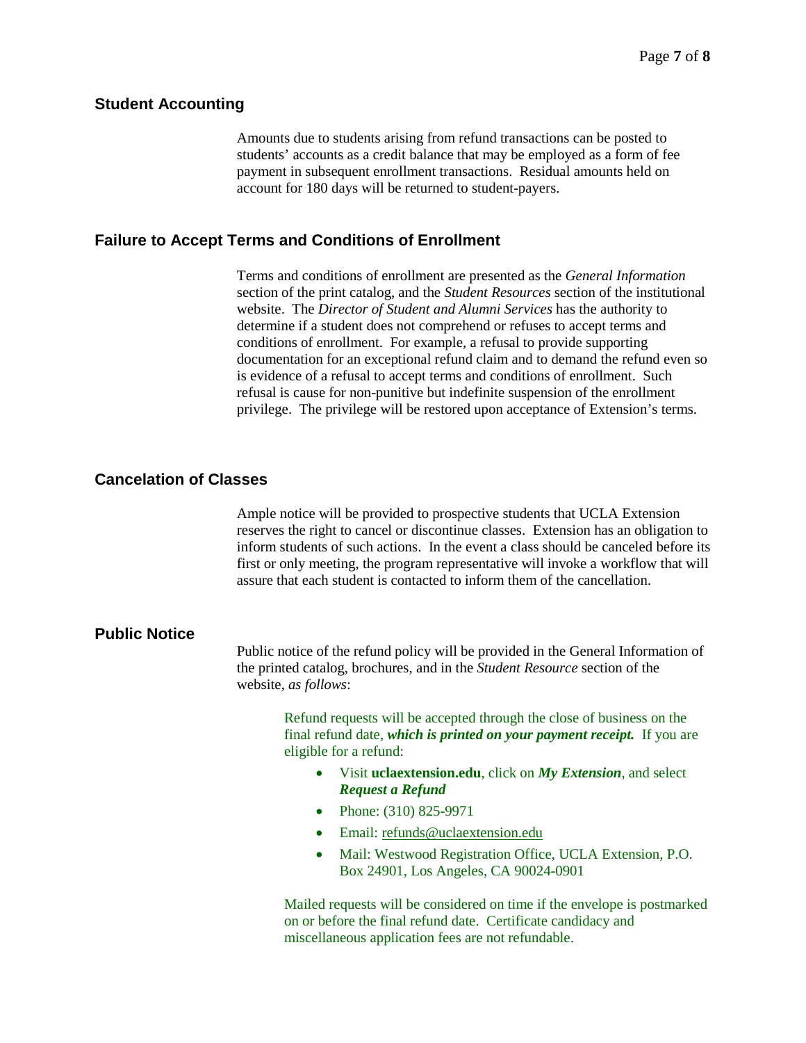#### **Student Accounting**

Amounts due to students arising from refund transactions can be posted to students' accounts as a credit balance that may be employed as a form of fee payment in subsequent enrollment transactions. Residual amounts held on account for 180 days will be returned to student-payers.

### **Failure to Accept Terms and Conditions of Enrollment**

Terms and conditions of enrollment are presented as the *General Information* section of the print catalog, and the *Student Resources* section of the institutional website. The *Director of Student and Alumni Services* has the authority to determine if a student does not comprehend or refuses to accept terms and conditions of enrollment. For example, a refusal to provide supporting documentation for an exceptional refund claim and to demand the refund even so is evidence of a refusal to accept terms and conditions of enrollment. Such refusal is cause for non-punitive but indefinite suspension of the enrollment privilege. The privilege will be restored upon acceptance of Extension's terms.

# **Cancelation of Classes**

Ample notice will be provided to prospective students that UCLA Extension reserves the right to cancel or discontinue classes. Extension has an obligation to inform students of such actions. In the event a class should be canceled before its first or only meeting, the program representative will invoke a workflow that will assure that each student is contacted to inform them of the cancellation.

# **Public Notice**

Public notice of the refund policy will be provided in the General Information of the printed catalog, brochures, and in the *Student Resource* section of the website, *as follows*:

> Refund requests will be accepted through the close of business on the final refund date, *which is printed on your payment receipt.* If you are eligible for a refund:

- Visit **uclaextension.edu**, click on *My Extension*, and select *Request a Refund*
- Phone: (310) 825-9971
- Email: [refunds@uclaextension.edu](mailto:refunds@uclaextension.edu)
- Mail: Westwood Registration Office, UCLA Extension, P.O. Box 24901, Los Angeles, CA 90024-0901

Mailed requests will be considered on time if the envelope is postmarked on or before the final refund date. Certificate candidacy and miscellaneous application fees are not refundable.